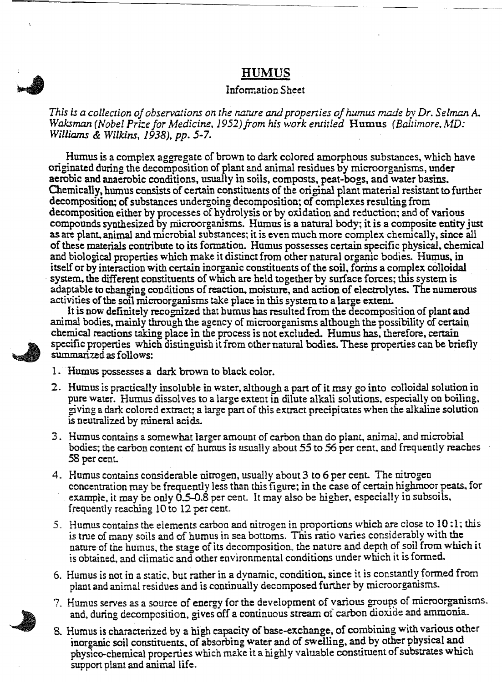## HUMUS

## Information Sheet

*This* is a collection of observations on the nature and properties of humus made by Dr. Selman A. *Waksman (Nobel Prize for Medicine, 1952) from his work entitled* Humus *(Baltimore, MD: Williams* & *Wilkins,* 1938), pp. *5-7.*

Humus is a complex aggregate of brown to dark colored amorphous substances, which have originated during the decomposition of plant and animal residues by microorganisms, under aerobic and anaerobic conditions, usually in soils, composts, peat-bogs, and water basins. Chemically, humus consists of certain constituents of the original plant material resistant to further decomposition; of substances undergoing decomposition; of complexes resulting from decomposition either by processes of hydrolysis or by oxidation and reduction; and of various compounds synthesized by microorganisms. Humus is a natural body; it is a composite entity just as are plant. animal and microbial substances; it is even much more complex chemically , since all of these materials contribute to its formation. Humus possesses certain specific physical. chemical and biological properties which make it distinct from other natural organic bodies. Humus. in itself or by interaction with certain inorganic constituents of the soil, forms a complex colloidal . system. the different constituents of which are held together by surface forces; this system is adaptable to changing conditions of reaction. moisture, and action of electrolytes. The numerous activities of the soil microorganisms take place in this system to a large extent.

It is now definitely recognized that humus has resulted from the decomposition of plant and animal bodies, mainly through the agency of microorganisms although the possibility of certain chemical reactions taking place in the process is not excluded. Humus has, therefore, certain specific properties which distinguish it from other natural bodies. These properties can be briefly summarized as follows:



- 2. Humus is practically insoluble in water, although a part of it may go into colloidal solution in pure water. Humus dissolves to a large extent in dilute alkali solutions, especially on boiling. giving a dark colored extract; a large pan of this extract precipi tates when the alkaline sol ution is neutralized by mineral acids.
- 3. Humus contains a somewhat larger amount of carbon than do plant, animal, and microbial bodies; the carbon content of humus is usually about 55 to 56 per cent, and frequently reaches 58 percent.
- 4. Humus contains considerable nitrogen, usually about 3 to 6 per cent. The nitrogen concentration may be frequently less than this figure; in the case of certain highmoor peats. for example, it may be only 0.5-0.8 per cent. It may also be higher, especially in subsoils. frequently reaching 10 to 12 per cent.
- 5. Humus contains the elements carbon and nitrogen in proportions which are close to 10 :1; this is true of many soils and of humus in sea bottoms. This ratio varies considerably with the nature of the humus, the stage of its decomposition, the nature and depth of soil from which it is obtained, and climatic and other environmental conditions under which it is formed.
- 6. Humus is not in a static. but rather in a dynamic, condition. since it is constantly formed from plant and animal residues and is continually decomposed further by microorganisms.
- 7. Humus serves as a source of energy for the development of various groups of microorganisms. and, during decomposition, gives off a continuous stream of carbon dioxide and ammonia.
- 8. Humus is characterized by a high capacity of base-exchange, of combining with various other inorganic soil constituents, of absorbing water and of swelling, and by other physical and physico-chemical properties which make it a highly valuable constituent of substrates which support plant and animal life.